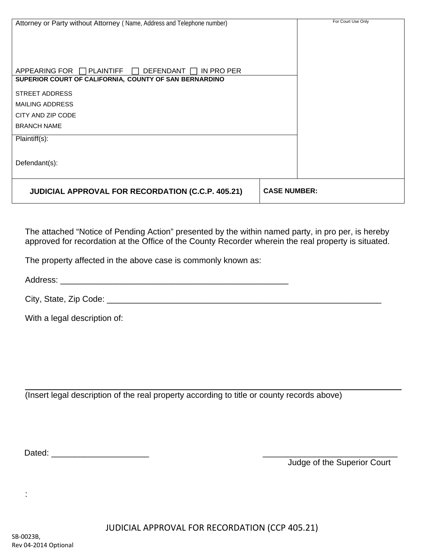| Attorney or Party without Attorney (Name, Address and Telephone number)                                              |                     | For Court Use Only |
|----------------------------------------------------------------------------------------------------------------------|---------------------|--------------------|
|                                                                                                                      |                     |                    |
|                                                                                                                      |                     |                    |
|                                                                                                                      |                     |                    |
| APPEARING FOR I I PLAINTIFF<br>DEFENDANT    <br>IN PRO PER<br>SUPERIOR COURT OF CALIFORNIA, COUNTY OF SAN BERNARDINO |                     |                    |
| <b>STREET ADDRESS</b>                                                                                                |                     |                    |
| <b>MAILING ADDRESS</b>                                                                                               |                     |                    |
| CITY AND ZIP CODE                                                                                                    |                     |                    |
| <b>BRANCH NAME</b>                                                                                                   |                     |                    |
| Plaintiff(s):                                                                                                        |                     |                    |
|                                                                                                                      |                     |                    |
| Defendant(s):                                                                                                        |                     |                    |
|                                                                                                                      |                     |                    |
| <b>JUDICIAL APPROVAL FOR RECORDATION (C.C.P. 405.21)</b>                                                             | <b>CASE NUMBER:</b> |                    |

The attached "Notice of Pending Action" presented by the within named party, in pro per, is hereby approved for recordation at the Office of the County Recorder wherein the real property is situated.

The property affected in the above case is commonly known as:

Address: \_\_\_\_\_\_\_\_\_\_\_\_\_\_\_\_\_\_\_\_\_\_\_\_\_\_\_\_\_\_\_\_\_\_\_\_\_\_\_\_\_\_\_\_\_\_\_\_\_

City, State, Zip Code: \_\_\_\_\_\_\_\_\_\_\_\_\_\_\_\_\_\_\_\_\_\_\_\_\_\_\_\_\_\_\_\_\_\_\_\_\_\_\_\_\_\_\_\_\_\_\_\_\_\_\_\_\_\_\_\_\_\_\_

With a legal description of:

(Insert legal description of the real property according to title or county records above)

Dated:  $\Box$ 

Judge of the Superior Court

: